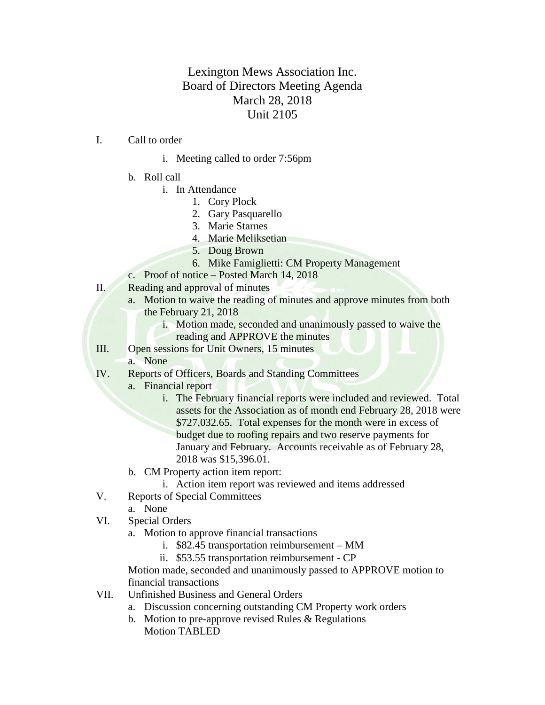## Lexington Mews Association Inc. Board of Directors Meeting Agenda March 28, 2018 Unit 2105

- I. Call to order
	- i. Meeting called to order 7:56pm
	- b. Roll call
		- i. In Attendance
			- 1. Cory Plock
			- 2. Gary Pasquarello
			- 3. Marie Starnes
			- 4. Marie Meliksetian
			- 5. Doug Brown
			- 6. Mike Famiglietti: CM Property Management
	- c. Proof of notice Posted March 14, 2018
- II. Reading and approval of minutes
	- a. Motion to waive the reading of minutes and approve minutes from both the February 21, 2018
		- i. Motion made, seconded and unanimously passed to waive the reading and APPROVE the minutes
- III. Open sessions for Unit Owners, 15 minutes
	- a. None
- IV. Reports of Officers, Boards and Standing Committees
	- a. Financial report
		- i. The February financial reports were included and reviewed. Total assets for the Association as of month end February 28, 2018 were \$727,032.65. Total expenses for the month were in excess of budget due to roofing repairs and two reserve payments for January and February. Accounts receivable as of February 28, 2018 was \$15,396.01.
	- b. CM Property action item report:
		- i. Action item report was reviewed and items addressed
- V. Reports of Special Committees
	- a. None
- VI. Special Orders
	- a. Motion to approve financial transactions
		- i. \$82.45 transportation reimbursement MM
		- ii. \$53.55 transportation reimbursement CP

Motion made, seconded and unanimously passed to APPROVE motion to financial transactions

- VII. Unfinished Business and General Orders
	- a. Discussion concerning outstanding CM Property work orders
	- b. Motion to pre-approve revised Rules & Regulations Motion TABLED